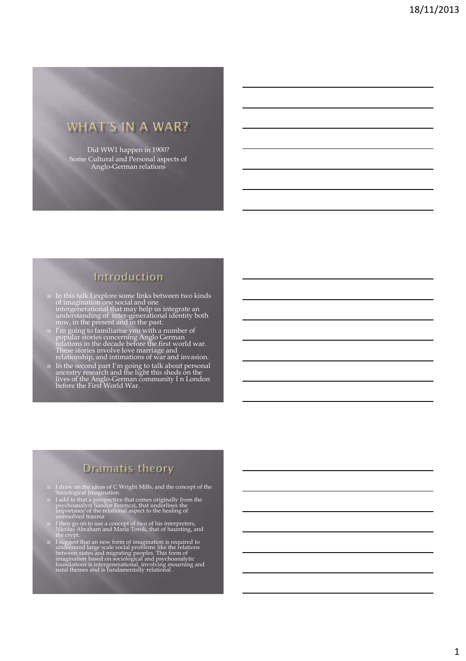# WHAT'S IN A WAR?

Did WW1 happen in 1900? Some Cultural and Personal aspects of Anglo-German relations

### Introduction

- In this talk I explore some links between two kinds of imagination one social and one intergenerational that may help us integrate an understanding of inter-generational identity both now, in the present and in the past.
- $\Box$  I'm going to familiarise you with a number of popular stories concerning Anglo German relations in the decade before the first world war. These stories involve love marriage and relationship, and intimations of war a
- In the second part I'm going to talk about personal ancestry research and the light this sheds on the lives of the Anglo-German community I n London before the First World War.

### Dramatis theory

- I draw on the ideas of C Wright Mills, and the concept of the Sociological Imagination
- I add to that a perspective that comes originally from the psychoanalyst Sandor Ferenczi, that underlines the importance of the relational aspect to the healing of unresolved trauma
- I then go on to use a concept of two of his interpreters, Nicolas Abraham and Maria Torok, that of haunting, and the crypt.
- $\Box$  I suggest that an new form of imagination is required to understand large scale social problems like the relations between states and migrating peoples. This form of imagination based on sociological and psychoanalyt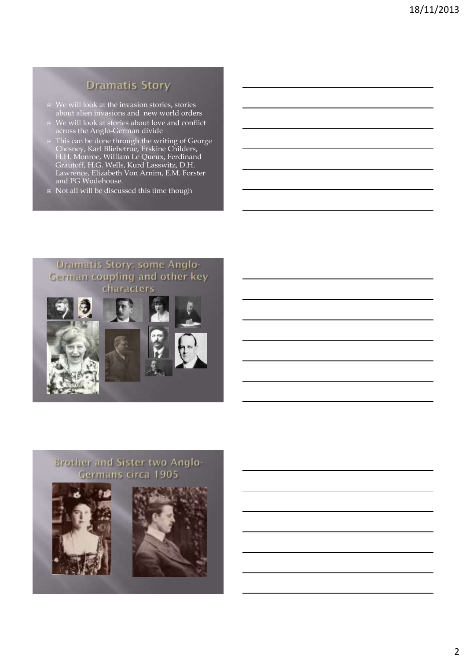## **Dramatis Story**

- We will look at the invasion stories, stories about alien invasions and new world orders
- We will look at stories about love and conflict across the Anglo-German divide
- This can be done through the writing of George Chesney, Karl Bliebetrue, Erskine Childers, H.H. Monroe, William Le Queux, Ferdinand Grautoff, H.G. Wells, Kurd Lasswitz, D.H. Lawrence, Elizabeth Von Arnim, E.M. Forster and PG Wodehouse.
- □ Not all will be discussed this time though

### Dramatis Story: some Anglo-German coupling and other key characters





### **Brother and Sister two Anglo-**Germans circa 1905



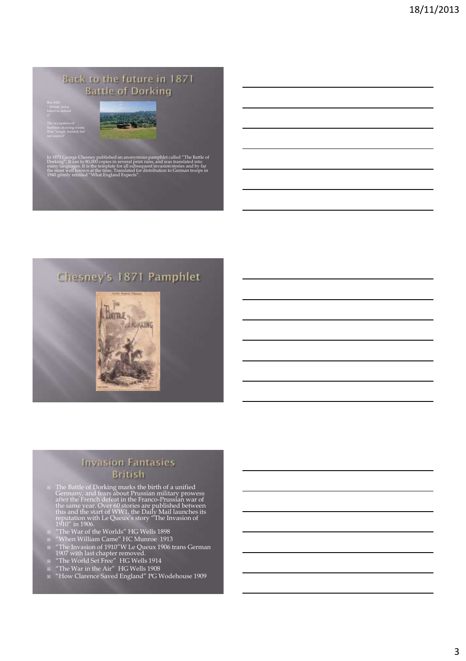### Back to the future in 1871 **Battle of Dorking**

Surbiton drawing rooms



et called <mark>"The l</mark><br>was translated Dorking". It ran to 80,000 copies in several print runs, and was translated into many languages. It is the template for all subsequent invasion stories and by far the most well known at the time. Translated for distribution to German troops in 1940 grimly retitiled "What England Expects".

## Chesney's 1871 Pamphlet



#### **Invasion Fantasies British**

- $\Box$  The Battle of Dorking marks the birth of a unified Germany, and fears about Prussian military prowess after the French defeat in the Franco-Prussian war of the same year. Over 60 stories are published between this an
- "The War of the Worlds" HG Wells 1898
- "When William Came" HC Munroe 1913
- "The Invasion of 1910"W Le Queux 1906 trans German 1907 with last chapter removed.
- "The World Set Free" HG Wells 1914
- "The War in the Air" HG Wells 1908
- "How Clarence Saved England" PG Wodehouse 1909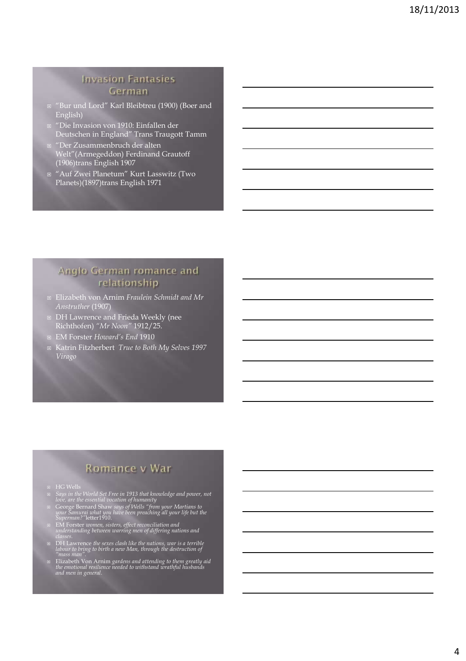#### **Invasion Fantasies** German

- "Bur und Lord" Karl Bleibtreu (1900) (Boer and English)
- "Die Invasion von 1910: Einfallen der Deutschen in England" Trans Traugott Tamm
- "Der Zusammenbruch der alten Welt"(Armegeddon) Ferdinand Grautoff (1906)trans English 1907
- "Auf Zwei Planetum" Kurt Lasswitz (Two Planets)(1897)trans English 1971

### Anglo German romance and relationship

- Elizabeth von Arnim *Fraulein Schmidt and Mr Anstruther* (1907)
- DH Lawrence and Frieda Weekly (nee Richthofen) *"Mr Noon"* 1912/25.
- EM Forster *Howard's End* 1910
- Katrin Fitzherbert *True to Both My Selves 1997 Virago*

### Romance v War

- 
- *Says in the World Set Free in 1913 that knowledge and power, not love, are the essential vocation of humanity*
- George Bernard Shaw *says of Wells "from your Martians to your Samurai what you have been preaching all your life but the Superman?"*letter1910.
- EM Forster *women, sisters, effect reconciliation and understanding between warring men of differing nations and classes.*
- DH Lawrence *the sexes clash like the nations, war is a terrible labour to bring to birth a new Man, through the destruction of "mass man".*
- Elizabeth Von Arnim *gardens and attending to them greatly aid the emotional resilience needed to withstand wrathful husbands and men in general.*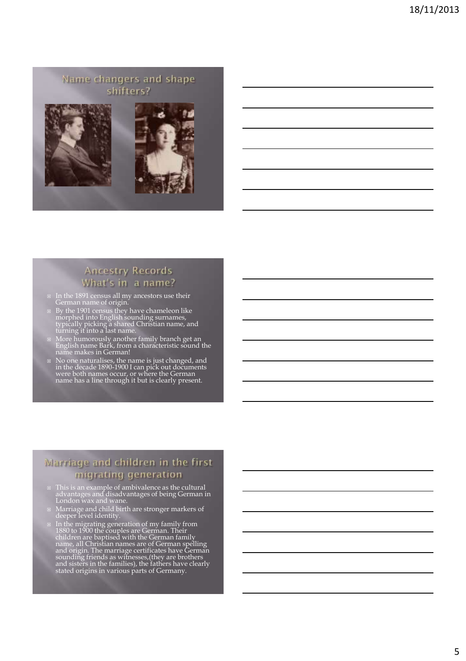### Name changers and shape shifters?





#### **Ancestry Records** What's in a name?

- In the 1891 census all my ancestors use their German name of origin.
- By the 1901 census they have chameleon like morphed into English sounding surnames, typically picking a shared Christian name, and turning it into a last name.
- More humorously another family branch get an English name Bark, from a characteristic sound the name makes in German!
- No one naturalises, the name is just changed, and in the decade 1890-1900 I can pick out documents were both names occur, or where the German name has a line through it but is clearly present.

#### Marriage and children in the first migrating generation

- This is an example of ambivalence as the cultural advantages and disadvantages of being German in London wax and wane.
- Marriage and child birth are stronger markers of deeper level identity.
- $\Xi$  In the migrating generation of my family from<br>1880 to 1900 the couples are German. Their<br>children are baptised with the German family<br>name, all Christian names are of German family<br>and origin. The marriage certificat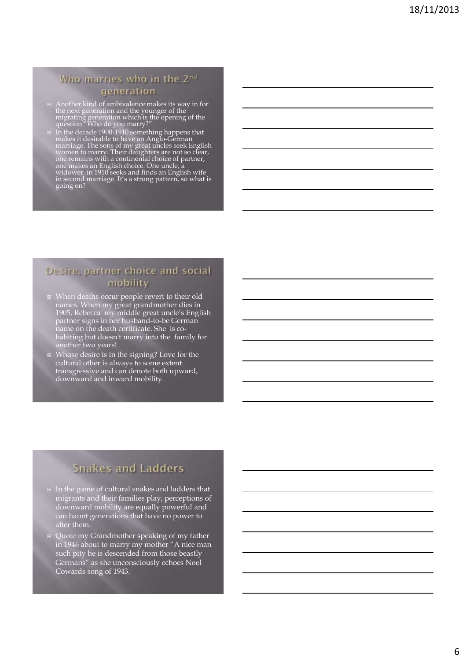#### Who marries who in the 2nd generation

- **■** Another kind of ambivalence makes its way in for the next generation and the younger of the migrating generation which is the opening of the question "Who do you marry?"
- $\Box$  In the decade 1900-1910 something happens that<br>makes it desirable to have an Anglo-German<br>marriage. The sons of my great uncles seek English<br>women to marry. Their daughters are not so clear,<br>one remains with a contin

#### Desire, partner choice and social mobility

- When deaths occur people revert to their old names. When my great grandmother dies in 1905, Rebecca my middle great uncle's English partner signs in her husband-to-be German name on the death certificate. She is cohabiting but doesn't marry into the family for another two years!
- **E** Whose desire is in the signing? Love for the cultural other is always to some extent transgressive and can denote both upward, downward and inward mobility.

## **Snakes and Ladders**

- $\texttt{\texttt{I}}$  In the game of cultural snakes and ladders that migrants and their families play, perceptions of downward mobility are equally powerful and can haunt generations that have no power to alter them.
- Quote my Grandmother speaking of my father in 1946 about to marry my mother "A nice man such pity he is descended from those beastly Germans" as she unconsciously echoes Noel Cowards song of 1943.